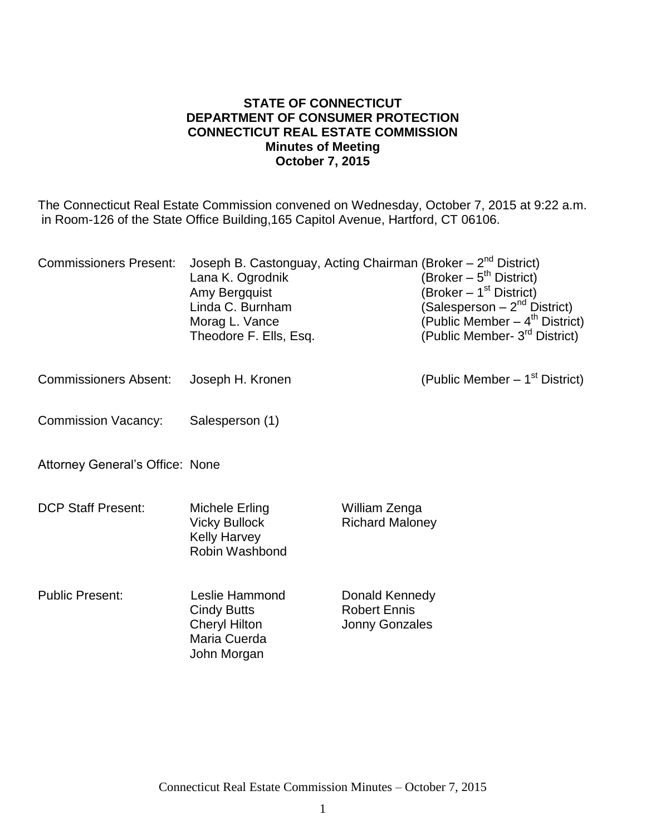#### **STATE OF CONNECTICUT DEPARTMENT OF CONSUMER PROTECTION CONNECTICUT REAL ESTATE COMMISSION Minutes of Meeting October 7, 2015**

The Connecticut Real Estate Commission convened on Wednesday, October 7, 2015 at 9:22 a.m. in Room-126 of the State Office Building,165 Capitol Avenue, Hartford, CT 06106.

| <b>Commissioners Present:</b>          | Joseph B. Castonguay, Acting Chairman (Broker – 2 <sup>nd</sup> District)<br>Lana K. Ogrodnik<br>Amy Bergquist<br>Linda C. Burnham<br>Morag L. Vance<br>Theodore F. Ells, Esq. |                                                                | (Broker $-5^{th}$ District)<br>(Broker – 1 <sup>st</sup> District)<br>(Salesperson – 2 <sup>nd</sup> District)<br>(Public Member $-4^{\text{th}}$ District)<br>(Public Member- 3 <sup>rd</sup> District) |
|----------------------------------------|--------------------------------------------------------------------------------------------------------------------------------------------------------------------------------|----------------------------------------------------------------|----------------------------------------------------------------------------------------------------------------------------------------------------------------------------------------------------------|
| <b>Commissioners Absent:</b>           | Joseph H. Kronen                                                                                                                                                               |                                                                | (Public Member $-1st$ District)                                                                                                                                                                          |
| <b>Commission Vacancy:</b>             | Salesperson (1)                                                                                                                                                                |                                                                |                                                                                                                                                                                                          |
| <b>Attorney General's Office: None</b> |                                                                                                                                                                                |                                                                |                                                                                                                                                                                                          |
| <b>DCP Staff Present:</b>              | Michele Erling<br><b>Vicky Bullock</b><br><b>Kelly Harvey</b><br>Robin Washbond                                                                                                | William Zenga<br><b>Richard Maloney</b>                        |                                                                                                                                                                                                          |
| <b>Public Present:</b>                 | Leslie Hammond<br><b>Cindy Butts</b><br><b>Cheryl Hilton</b><br>Maria Cuerda<br>John Morgan                                                                                    | Donald Kennedy<br><b>Robert Ennis</b><br><b>Jonny Gonzales</b> |                                                                                                                                                                                                          |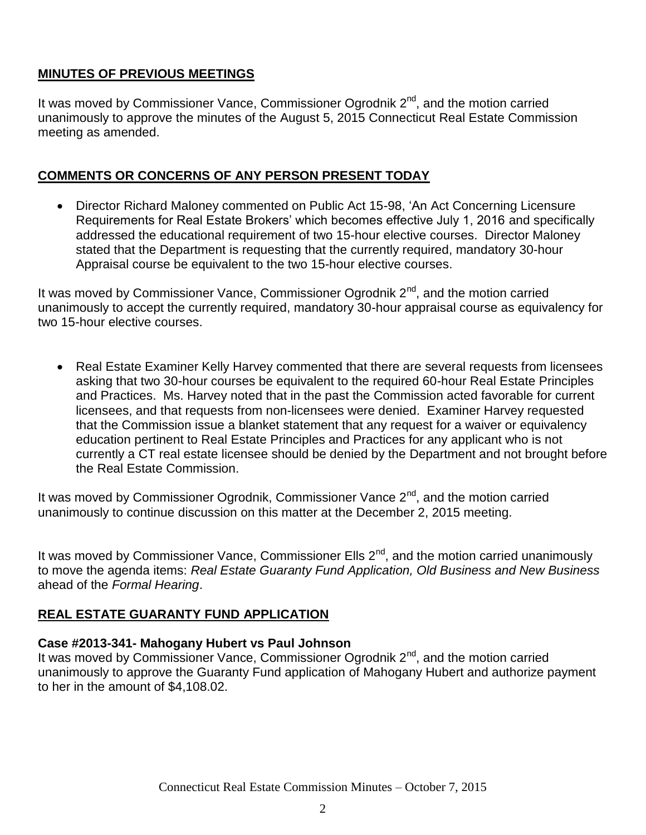# **MINUTES OF PREVIOUS MEETINGS**

It was moved by Commissioner Vance, Commissioner Ogrodnik 2<sup>nd</sup>, and the motion carried unanimously to approve the minutes of the August 5, 2015 Connecticut Real Estate Commission meeting as amended.

# **COMMENTS OR CONCERNS OF ANY PERSON PRESENT TODAY**

 Director Richard Maloney commented on Public Act 15-98, 'An Act Concerning Licensure Requirements for Real Estate Brokers' which becomes effective July 1, 2016 and specifically addressed the educational requirement of two 15-hour elective courses. Director Maloney stated that the Department is requesting that the currently required, mandatory 30-hour Appraisal course be equivalent to the two 15-hour elective courses.

It was moved by Commissioner Vance, Commissioner Ogrodnik  $2<sup>nd</sup>$ , and the motion carried unanimously to accept the currently required, mandatory 30-hour appraisal course as equivalency for two 15-hour elective courses.

• Real Estate Examiner Kelly Harvey commented that there are several requests from licensees asking that two 30-hour courses be equivalent to the required 60-hour Real Estate Principles and Practices. Ms. Harvey noted that in the past the Commission acted favorable for current licensees, and that requests from non-licensees were denied. Examiner Harvey requested that the Commission issue a blanket statement that any request for a waiver or equivalency education pertinent to Real Estate Principles and Practices for any applicant who is not currently a CT real estate licensee should be denied by the Department and not brought before the Real Estate Commission.

It was moved by Commissioner Ogrodnik, Commissioner Vance  $2^{nd}$ , and the motion carried unanimously to continue discussion on this matter at the December 2, 2015 meeting.

It was moved by Commissioner Vance, Commissioner Ells  $2<sup>nd</sup>$ , and the motion carried unanimously to move the agenda items: *Real Estate Guaranty Fund Application, Old Business and New Business* ahead of the *Formal Hearing*.

## **REAL ESTATE GUARANTY FUND APPLICATION**

## **Case #2013-341- Mahogany Hubert vs Paul Johnson**

It was moved by Commissioner Vance, Commissioner Ogrodnik  $2<sup>nd</sup>$ , and the motion carried unanimously to approve the Guaranty Fund application of Mahogany Hubert and authorize payment to her in the amount of \$4,108.02.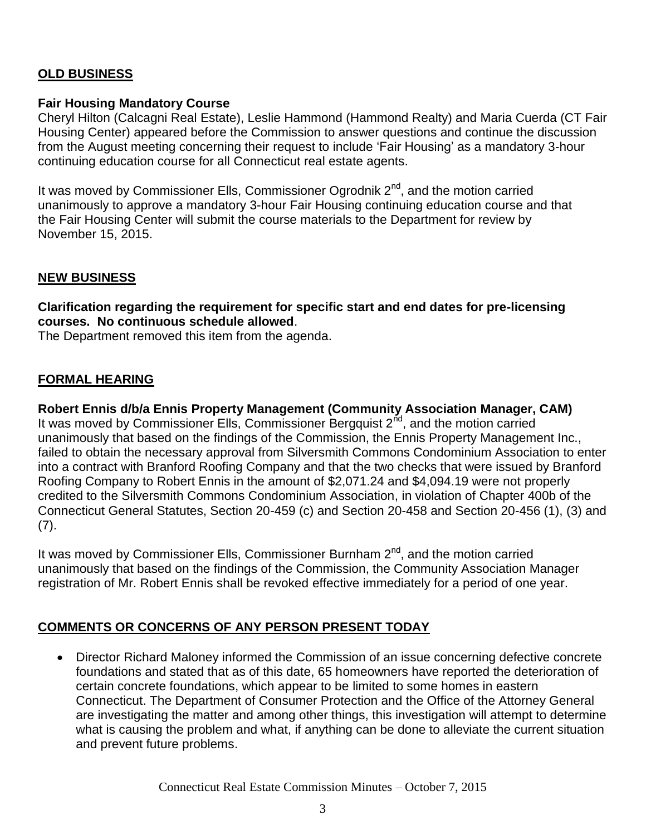# **OLD BUSINESS**

### **Fair Housing Mandatory Course**

Cheryl Hilton (Calcagni Real Estate), Leslie Hammond (Hammond Realty) and Maria Cuerda (CT Fair Housing Center) appeared before the Commission to answer questions and continue the discussion from the August meeting concerning their request to include 'Fair Housing' as a mandatory 3-hour continuing education course for all Connecticut real estate agents.

It was moved by Commissioner Ells, Commissioner Ogrodnik 2<sup>nd</sup>, and the motion carried unanimously to approve a mandatory 3-hour Fair Housing continuing education course and that the Fair Housing Center will submit the course materials to the Department for review by November 15, 2015.

## **NEW BUSINESS**

**Clarification regarding the requirement for specific start and end dates for pre-licensing courses. No continuous schedule allowed**.

The Department removed this item from the agenda.

### **FORMAL HEARING**

**Robert Ennis d/b/a Ennis Property Management (Community Association Manager, CAM)** It was moved by Commissioner Ells, Commissioner Bergquist  $2^{nd}$ , and the motion carried unanimously that based on the findings of the Commission, the Ennis Property Management Inc., failed to obtain the necessary approval from Silversmith Commons Condominium Association to enter into a contract with Branford Roofing Company and that the two checks that were issued by Branford Roofing Company to Robert Ennis in the amount of \$2,071.24 and \$4,094.19 were not properly credited to the Silversmith Commons Condominium Association, in violation of Chapter 400b of the Connecticut General Statutes, Section 20-459 (c) and Section 20-458 and Section 20-456 (1), (3) and  $(7)$ .

It was moved by Commissioner Ells, Commissioner Burnham  $2<sup>nd</sup>$ , and the motion carried unanimously that based on the findings of the Commission, the Community Association Manager registration of Mr. Robert Ennis shall be revoked effective immediately for a period of one year.

## **COMMENTS OR CONCERNS OF ANY PERSON PRESENT TODAY**

 Director Richard Maloney informed the Commission of an issue concerning defective concrete foundations and stated that as of this date, 65 homeowners have reported the deterioration of certain concrete foundations, which appear to be limited to some homes in eastern Connecticut. The Department of Consumer Protection and the Office of the Attorney General are investigating the matter and among other things, this investigation will attempt to determine what is causing the problem and what, if anything can be done to alleviate the current situation and prevent future problems.